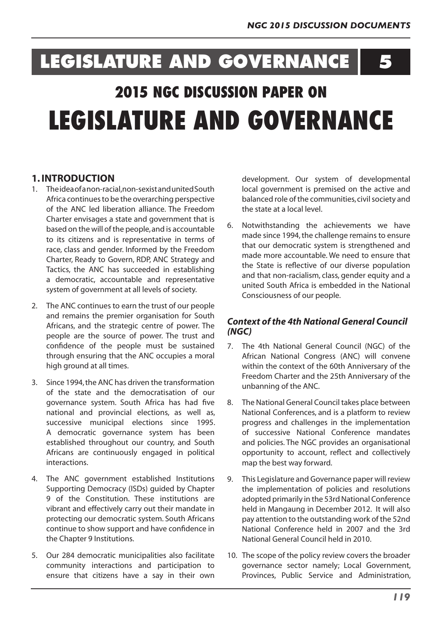# **LEGISLATURE AND GOVERNANCE 5**

# **2015 NGC DISCUSSION PAPER ON LEGISLATURE AND GOVERNANCE**

# **1. INTRODUCTION**

- 1. Theideaofanon-racial,non-sexistandunitedSouth Africa continuesto be the overarching perspective of the ANC led liberation alliance. The Freedom Charter envisages a state and government that is based on the will of the people,and is accountable to its citizens and is representative in terms of race, class and gender. Informed by the Freedom Charter, Ready to Govern, RDP, ANC Strategy and Tactics, the ANC has succeeded in establishing a democratic, accountable and representative system of government at all levels of society.
- 2. The ANC continues to earn the trust of our people and remains the premier organisation for South Africans, and the strategic centre of power. The people are the source of power. The trust and confidence of the people must be sustained through ensuring that the ANC occupies a moral high ground at all times.
- 3. Since 1994,the ANC has driven the transformation of the state and the democratisation of our governance system. South Africa has had five national and provincial elections, as well as, successive municipal elections since 1995. A democratic governance system has been established throughout our country, and South Africans are continuously engaged in political interactions.
- 4. The ANC government established Institutions Supporting Democracy (ISDs) guided by Chapter 9 of the Constitution. These institutions are vibrant and effectively carry out their mandate in protecting our democratic system. South Africans continue to show support and have confidence in the Chapter 9 Institutions.
- 5. Our 284 democratic municipalities also facilitate community interactions and participation to ensure that citizens have a say in their own

development. Our system of developmental local government is premised on the active and balanced role of the communities, civil society and the state at a local level.

6. Notwithstanding the achievements we have made since 1994, the challenge remains to ensure that our democratic system is strengthened and made more accountable. We need to ensure that the State is reflective of our diverse population and that non-racialism, class, gender equity and a united South Africa is embedded in the National Consciousness of our people.

# *Context of the 4th National General Council (NGC)*

- 7. The 4th National General Council (NGC) of the African National Congress (ANC) will convene within the context of the 60th Anniversary of the Freedom Charter and the 25th Anniversary of the unbanning of the ANC.
- 8. The National General Council takes place between National Conferences, and is a platform to review progress and challenges in the implementation of successive National Conference mandates and policies. The NGC provides an organisational opportunity to account, reflect and collectively map the best way forward.
- 9. This Legislature and Governance paper will review the implementation of policies and resolutions adopted primarily in the 53rd National Conference held in Mangaung in December 2012. It will also pay attention to the outstanding work of the 52nd National Conference held in 2007 and the 3rd National General Council held in 2010.
- 10. The scope of the policy review covers the broader governance sector namely; Local Government, Provinces, Public Service and Administration,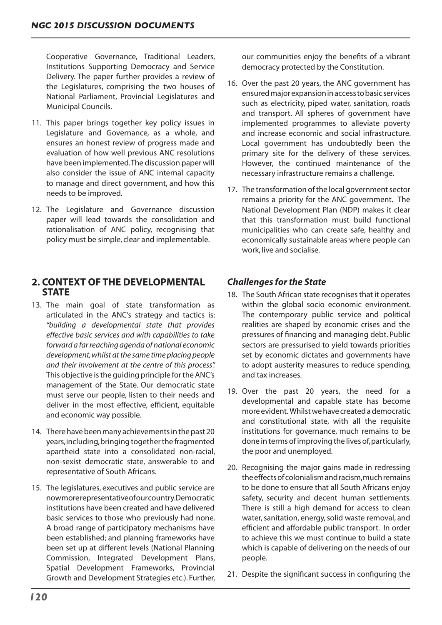Cooperative Governance, Traditional Leaders, Institutions Supporting Democracy and Service Delivery. The paper further provides a review of the Legislatures, comprising the two houses of National Parliament, Provincial Legislatures and Municipal Councils.

- 11. This paper brings together key policy issues in Legislature and Governance, as a whole, and ensures an honest review of progress made and evaluation of how well previous ANC resolutions have been implemented.The discussion paper will also consider the issue of ANC internal capacity to manage and direct government, and how this needs to be improved.
- 12. The Legislature and Governance discussion paper will lead towards the consolidation and rationalisation of ANC policy, recognising that policy must be simple, clear and implementable.

# **2. CONTEXT OF THE DEVELOPMENTAL STATE**

- 13. The main goal of state transformation as articulated in the ANC's strategy and tactics is: *"building a developmental state that provides effective basic services and with capabilities to take forward a far reaching agenda of national economic development, whilst at the same time placing people and their involvement at the centre of this process".*  This objective isthe guiding principle fortheANC's management of the State. Our democratic state must serve our people, listen to their needs and deliver in the most effective, efficient, equitable and economic way possible.
- 14. There have been many achievements in the past 20 years, including, bringing together the fragmented apartheid state into a consolidated non-racial, non-sexist democratic state, answerable to and representative of South Africans.
- 15. The legislatures, executives and public service are nowmorerepresentativeofourcountry.Democratic institutions have been created and have delivered basic services to those who previously had none. A broad range of participatory mechanisms have been established; and planning frameworks have been set up at different levels (National Planning Commission, Integrated Development Plans, Spatial Development Frameworks, Provincial Growth and Development Strategies etc.). Further,

our communities enjoy the benefits of a vibrant democracy protected by the Constitution.

- 16. Over the past 20 years, the ANC government has ensuredmajorexpansioninaccesstobasicservices such as electricity, piped water, sanitation, roads and transport. All spheres of government have implemented programmes to alleviate poverty and increase economic and social infrastructure. Local government has undoubtedly been the primary site for the delivery of these services. However, the continued maintenance of the necessary infrastructure remains a challenge.
- 17. The transformation of the local government sector remains a priority for the ANC government. The National Development Plan (NDP) makes it clear that this transformation must build functional municipalities who can create safe, healthy and economically sustainable areas where people can work, live and socialise.

# *Challenges for the State*

- 18. The South African state recognises that it operates within the global socio economic environment. The contemporary public service and political realities are shaped by economic crises and the pressures of financing and managing debt. Public sectors are pressurised to yield towards priorities set by economic dictates and governments have to adopt austerity measures to reduce spending, and tax increases.
- 19. Over the past 20 years, the need for a developmental and capable state has become more evident. Whilst we have created a democratic and constitutional state, with all the requisite institutions for governance, much remains to be done in terms ofimproving the lives of,particularly, the poor and unemployed.
- 20. Recognising the major gains made in redressing theeffectsofcolonialismandracism,muchremains to be done to ensure that all South Africans enjoy safety, security and decent human settlements. There is still a high demand for access to clean water, sanitation, energy, solid waste removal, and efficient and affordable public transport. In order to achieve this we must continue to build a state which is capable of delivering on the needs of our people.
- 21. Despite the significant success in configuring the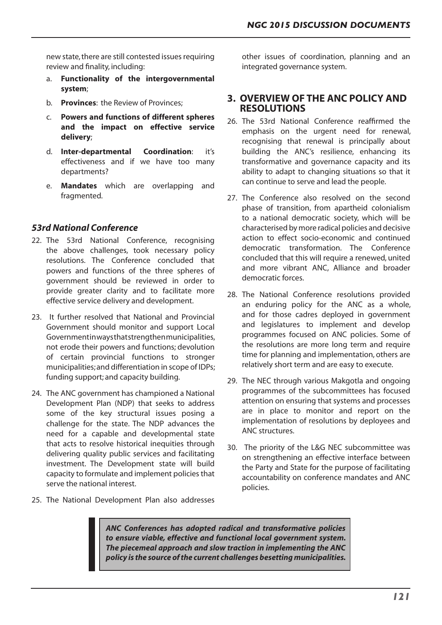new state, there are still contested issues requiring review and finality, including:

- a. **Functionality of the intergovernmental system**;
- b. **Provinces**: the Review of Provinces;
- c. **Powers and functions of different spheres and the impact on effective service delivery**;
- d. **Inter-departmental Coordination**: it's effectiveness and if we have too many departments?
- e. **Mandates** which are overlapping and fragmented.

# *53rd National Conference*

- 22. The 53rd National Conference, recognising the above challenges, took necessary policy resolutions. The Conference concluded that powers and functions of the three spheres of government should be reviewed in order to provide greater clarity and to facilitate more effective service delivery and development.
- 23. It further resolved that National and Provincial Government should monitor and support Local Governmentinwaysthatstrengthenmunicipalities, not erode their powers and functions; devolution of certain provincial functions to stronger municipalities;and differentiation in scope of IDPs; funding support; and capacity building.
- 24. The ANC government has championed a National Development Plan (NDP) that seeks to address some of the key structural issues posing a challenge for the state. The NDP advances the need for a capable and developmental state that acts to resolve historical inequities through delivering quality public services and facilitating investment. The Development state will build capacity to formulate and implement policiesthat serve the national interest.
- 25. The National Development Plan also addresses

other issues of coordination, planning and an integrated governance system.

### **3. OVERVIEW OF THE ANC POLICY AND RESOLUTIONS**

- 26. The 53rd National Conference reaffirmed the emphasis on the urgent need for renewal, recognising that renewal is principally about building the ANC's resilience, enhancing its transformative and governance capacity and its ability to adapt to changing situations so that it can continue to serve and lead the people.
- 27. The Conference also resolved on the second phase of transition, from apartheid colonialism to a national democratic society, which will be characterised by more radical policies and decisive action to effect socio-economic and continued democratic transformation. The Conference concluded that this will require a renewed, united and more vibrant ANC, Alliance and broader democratic forces.
- 28. The National Conference resolutions provided an enduring policy for the ANC as a whole, and for those cadres deployed in government and legislatures to implement and develop programmes focused on ANC policies. Some of the resolutions are more long term and require time for planning and implementation, others are relatively short term and are easy to execute.
- 29. The NEC through various Makgotla and ongoing programmes of the subcommittees has focused attention on ensuring that systems and processes are in place to monitor and report on the implementation of resolutions by deployees and ANC structures.
- 30. The priority of the L&G NEC subcommittee was on strengthening an effective interface between the Party and State for the purpose of facilitating accountability on conference mandates and ANC policies.

*ANC Conferences has adopted radical and transformative policies to ensure viable, effective and functional local government system. The piecemeal approach and slow traction in implementing the ANC policy is the source of the current challenges besetting municipalities.*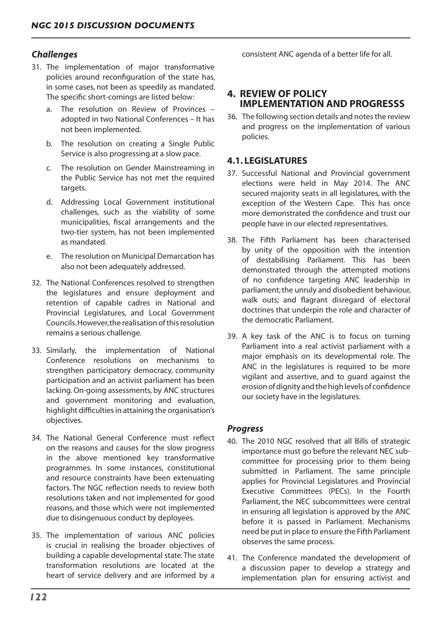## *Challenges*

- 31. The implementation of major transformative policies around reconfiguration of the state has, in some cases, not been as speedily as mandated. The specific short-comings are listed below:
	- a. The resolution on Review of Provinces adopted in two National Conferences – It has not been implemented.
	- b. The resolution on creating a Single Public Service is also progressing at a slow pace.
	- c. The resolution on Gender Mainstreaming in the Public Service has not met the required targets.
	- d. Addressing Local Government institutional challenges, such as the viability of some municipalities, fiscal arrangements and the two-tier system, has not been implemented as mandated.
	- e. The resolution on Municipal Demarcation has also not been adequately addressed.
- 32. The National Conferences resolved to strengthen the legislatures and ensure deployment and retention of capable cadres in National and Provincial Legislatures, and Local Government Councils.However,the realisation ofthisresolution remains a serious challenge.
- 33. Similarly, the implementation of National Conference resolutions on mechanisms to strengthen participatory democracy, community participation and an activist parliament has been lacking.On-going assessments, by ANC structures and government monitoring and evaluation, highlight difficulties in attaining the organisation's objectives.
- 34. The National General Conference must reflect on the reasons and causes for the slow progress in the above mentioned key transformative programmes. In some instances, constitutional and resource constraints have been extenuating factors. The NGC reflection needs to review both resolutions taken and not implemented for good reasons, and those which were not implemented due to disingenuous conduct by deployees.
- 35. The implementation of various ANC policies is crucial in realising the broader objectives of building a capable developmental state.The state transformation resolutions are located at the heart of service delivery and are informed by a

consistent ANC agenda of a better life for all.

## **4. REVIEW OF POLICY IMPLEMENTATION AND PROGRESSS**

36. The following section details and notes the review and progress on the implementation of various policies.

## **4.1. LEGISLATURES**

- 37. Successful National and Provincial government elections were held in May 2014. The ANC secured majority seats in all legislatures, with the exception of the Western Cape. This has once more demonstrated the confidence and trust our people have in our elected representatives.
- 38. The Fifth Parliament has been characterised by unity of the opposition with the intention of destabilising Parliament. This has been demonstrated through the attempted motions of no confidence targeting ANC leadership in parliament; the unruly and disobedient behaviour, walk outs; and flagrant disregard of electoral doctrines that underpin the role and character of the democratic Parliament.
- 39. A key task of the ANC is to focus on turning Parliament into a real activist parliament with a major emphasis on its developmental role. The ANC in the legislatures is required to be more vigilant and assertive, and to guard against the erosion of dignity and the high levels of confidence our society have in the legislatures.

## *Progress*

- 40. The 2010 NGC resolved that all Bills of strategic importance must go before the relevant NEC subcommittee for processing prior to them being submitted in Parliament. The same principle applies for Provincial Legislatures and Provincial Executive Committees (PECs). In the Fourth Parliament, the NEC subcommittees were central in ensuring all legislation is approved by the ANC before it is passed in Parliament. Mechanisms need be put in place to ensure the Fifth Parliament observes the same process.
- 41. The Conference mandated the development of a discussion paper to develop a strategy and implementation plan for ensuring activist and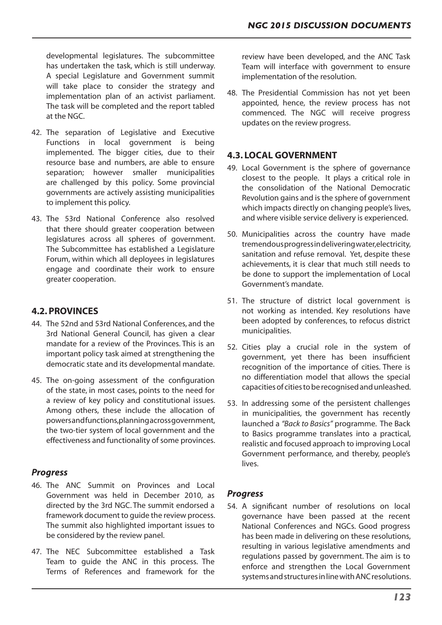developmental legislatures. The subcommittee has undertaken the task, which is still underway. A special Legislature and Government summit will take place to consider the strategy and implementation plan of an activist parliament. The task will be completed and the report tabled at the NGC.

- 42. The separation of Legislative and Executive Functions in local government is being implemented. The bigger cities, due to their resource base and numbers, are able to ensure separation; however smaller municipalities are challenged by this policy. Some provincial governments are actively assisting municipalities to implement this policy.
- 43. The 53rd National Conference also resolved that there should greater cooperation between legislatures across all spheres of government. The Subcommittee has established a Legislature Forum, within which all deployees in legislatures engage and coordinate their work to ensure greater cooperation.

# **4.2. PROVINCES**

- 44. The 52nd and 53rd National Conferences, and the 3rd National General Council, has given a clear mandate for a review of the Provinces. This is an important policy task aimed at strengthening the democratic state and its developmental mandate.
- 45. The on-going assessment of the configuration of the state, in most cases, points to the need for a review of key policy and constitutional issues. Among others, these include the allocation of powersandfunctions,planningacrossgovernment, the two-tier system of local government and the effectiveness and functionality of some provinces.

## *Progress*

- 46. The ANC Summit on Provinces and Local Government was held in December 2010, as directed by the 3rd NGC. The summit endorsed a framework document to guide the review process. The summit also highlighted important issues to be considered by the review panel.
- 47. The NEC Subcommittee established a Task Team to guide the ANC in this process. The Terms of References and framework for the

review have been developed, and the ANC Task Team will interface with government to ensure implementation of the resolution.

48. The Presidential Commission has not yet been appointed, hence, the review process has not commenced. The NGC will receive progress updates on the review progress.

# **4.3. LOCAL GOVERNMENT**

- 49. Local Government is the sphere of governance closest to the people. It plays a critical role in the consolidation of the National Democratic Revolution gains and is the sphere of government which impacts directly on changing people's lives, and where visible service delivery is experienced.
- 50. Municipalities across the country have made tremendousprogressindeliveringwater,electricity, sanitation and refuse removal. Yet, despite these achievements, it is clear that much still needs to be done to support the implementation of Local Government's mandate.
- 51. The structure of district local government is not working as intended. Key resolutions have been adopted by conferences, to refocus district municipalities.
- 52. Cities play a crucial role in the system of government, yet there has been insufficient recognition of the importance of cities. There is no differentiation model that allows the special capacities of cities to be recognised and unleashed.
- 53. In addressing some of the persistent challenges in municipalities, the government has recently launched a *"Back to Basics"* programme. The Back to Basics programme translates into a practical, realistic and focused approach to improving Local Government performance, and thereby, people's lives.

## *Progress*

54. A significant number of resolutions on local governance have been passed at the recent National Conferences and NGCs. Good progress has been made in delivering on these resolutions, resulting in various legislative amendments and regulations passed by government. The aim is to enforce and strengthen the Local Government systems and structures in line with ANC resolutions.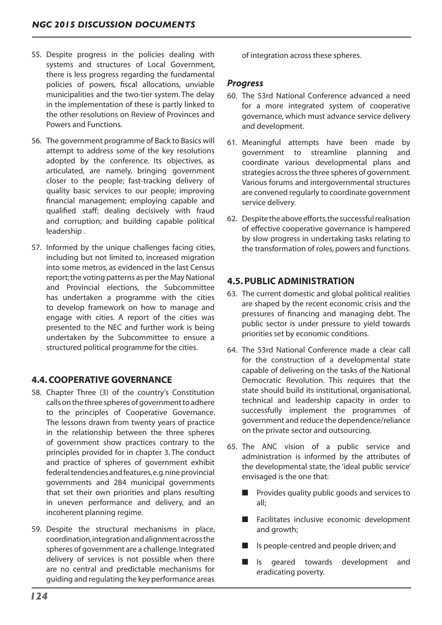- 55. Despite progress in the policies dealing with systems and structures of Local Government, there is less progress regarding the fundamental policies of powers, fiscal allocations, unviable municipalities and the two-tier system. The delay in the implementation of these is partly linked to the other resolutions on Review of Provinces and Powers and Functions.
- 56. The government programme of Back to Basics will attempt to address some of the key resolutions adopted by the conference. Its objectives, as articulated, are namely, bringing government closer to the people; fast-tracking delivery of quality basic services to our people; improving financial management; employing capable and qualified staff; dealing decisively with fraud and corruption; and building capable political leadership .
- 57. Informed by the unique challenges facing cities, including but not limited to, increased migration into some metros, as evidenced in the last Census report;the voting patterns as per the May National and Provincial elections, the Subcommittee has undertaken a programme with the cities to develop framework on how to manage and engage with cities. A report of the cities was presented to the NEC and further work is being undertaken by the Subcommittee to ensure a structured political programme for the cities.

# **4.4. COOPERATIVE GOVERNANCE**

- 58. Chapter Three (3) of the country's Constitution calls on the three spheres of government to adhere to the principles of Cooperative Governance. The lessons drawn from twenty years of practice in the relationship between the three spheres of government show practices contrary to the principles provided for in chapter 3. The conduct and practice of spheres of government exhibit federal tendencies and features, e.g. nine provincial governments and 284 municipal governments that set their own priorities and plans resulting in uneven performance and delivery, and an incoherent planning regime.
- 59. Despite the structural mechanisms in place, coordination,integrationandalignment acrossthe spheres of government are a challenge.Integrated delivery of services is not possible when there are no central and predictable mechanisms for guiding and regulating the key performance areas

of integration across these spheres.

#### *Progress*

- 60. The 53rd National Conference advanced a need for a more integrated system of cooperative governance, which must advance service delivery and development.
- 61. Meaningful attempts have been made by government to streamline planning and coordinate various developmental plans and strategies across the three spheres of government. Various forums and intergovernmental structures are convened regularly to coordinate government service delivery.
- 62. Despite the above efforts, the successful realisation of effective cooperative governance is hampered by slow progress in undertaking tasks relating to the transformation of roles, powers and functions.

# **4.5. PUBLIC ADMINISTRATION**

- 63. The current domestic and global political realities are shaped by the recent economic crisis and the pressures of financing and managing debt. The public sector is under pressure to yield towards priorities set by economic conditions.
- 64. The 53rd National Conference made a clear call for the construction of a developmental state capable of delivering on the tasks of the National Democratic Revolution. This requires that the state should build its institutional, organisational, technical and leadership capacity in order to successfully implement the programmes of government and reduce the dependence/reliance on the private sector and outsourcing.
- 65. The ANC vision of a public service and administration is informed by the attributes of the developmental state, the 'ideal public service' envisaged is the one that:
	- $\blacksquare$  Provides quality public goods and services to all;
	- $\blacksquare$  Facilitates inclusive economic development and growth;
	- $\blacksquare$  Is people-centred and people driven; and
	- s Is geared towards development and eradicating poverty.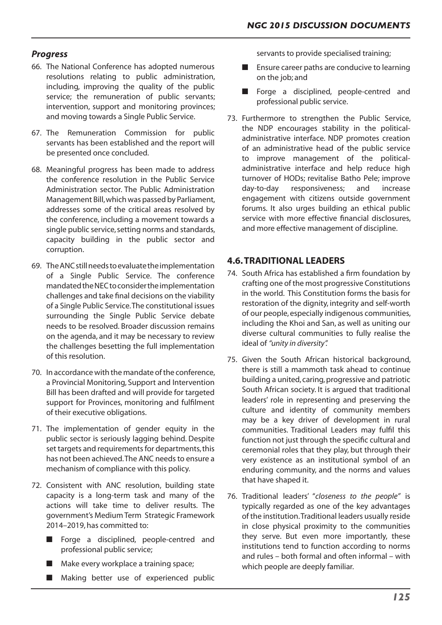## *Progress*

- 66. The National Conference has adopted numerous resolutions relating to public administration, including, improving the quality of the public service; the remuneration of public servants; intervention, support and monitoring provinces; and moving towards a Single Public Service.
- 67. The Remuneration Commission for public servants has been established and the report will be presented once concluded.
- 68. Meaningful progress has been made to address the conference resolution in the Public Service Administration sector. The Public Administration Management Bill,which was passed by Parliament, addresses some of the critical areas resolved by the conference, including a movement towards a single public service, setting norms and standards, capacity building in the public sector and corruption.
- 69. TheANCstillneedstoevaluatetheimplementation of a Single Public Service. The conference mandatedtheNECtoconsidertheimplementation challenges and take final decisions on the viability of a Single Public Service.The constitutional issues surrounding the Single Public Service debate needs to be resolved. Broader discussion remains on the agenda, and it may be necessary to review the challenges besetting the full implementation of this resolution.
- 70. In accordance with the mandate of the conference, a Provincial Monitoring, Support and Intervention Bill has been drafted and will provide for targeted support for Provinces, monitoring and fulfilment of their executive obligations.
- 71. The implementation of gender equity in the public sector is seriously lagging behind. Despite set targets and requirements for departments, this has not been achieved. The ANC needs to ensure a mechanism of compliance with this policy.
- 72. Consistent with ANC resolution, building state capacity is a long-term task and many of the actions will take time to deliver results. The government's Medium Term Strategic Framework 2014–2019, has committed to:
	- Forge a disciplined, people-centred and professional public service;
	- $\blacksquare$  Make every workplace a training space;
	- Making better use of experienced public

servants to provide specialised training;

- $\blacksquare$  Ensure career paths are conducive to learning on the job; and
- **n** Forge a disciplined, people-centred and professional public service.
- 73. Furthermore to strengthen the Public Service, the NDP encourages stability in the politicaladministrative interface. NDP promotes creation of an administrative head of the public service to improve management of the politicaladministrative interface and help reduce high turnover of HODs; revitalise Batho Pele; improve day-to-day responsiveness; and increase engagement with citizens outside government forums. It also urges building an ethical public service with more effective financial disclosures, and more effective management of discipline.

# **4.6. TRADITIONAL LEADERS**

- 74. South Africa has established a firm foundation by crafting one of the most progressive Constitutions in the world. This Constitution forms the basis for restoration of the dignity, integrity and self-worth of our people,especially indigenous communities, including the Khoi and San, as well as uniting our diverse cultural communities to fully realise the ideal of *"unity in diversity".*
- 75. Given the South African historical background, there is still a mammoth task ahead to continue building a united, caring, progressive and patriotic South African society. It is argued that traditional leaders' role in representing and preserving the culture and identity of community members may be a key driver of development in rural communities. Traditional Leaders may fulfil this function not just through the specific cultural and ceremonial roles that they play, but through their very existence as an institutional symbol of an enduring community, and the norms and values that have shaped it.
- 76. Traditional leaders' "*closeness to the people"* is typically regarded as one of the key advantages of the institution.Traditional leaders usually reside in close physical proximity to the communities they serve. But even more importantly, these institutions tend to function according to norms and rules – both formal and often informal – with which people are deeply familiar.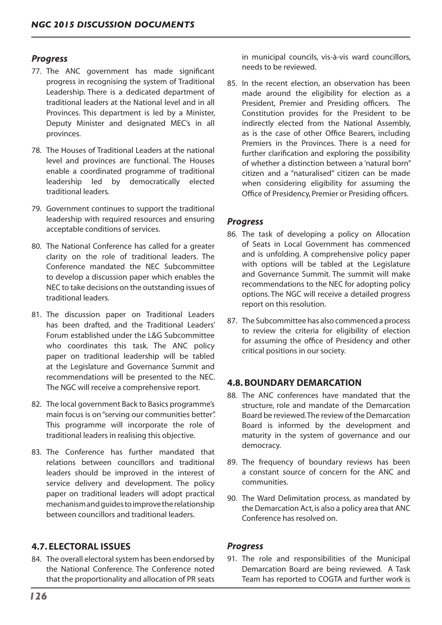### *Progress*

- 77. The ANC government has made significant progress in recognising the system of Traditional Leadership. There is a dedicated department of traditional leaders at the National level and in all Provinces. This department is led by a Minister, Deputy Minister and designated MEC's in all provinces.
- 78. The Houses of Traditional Leaders at the national level and provinces are functional. The Houses enable a coordinated programme of traditional leadership led by democratically elected traditional leaders.
- 79. Government continues to support the traditional leadership with required resources and ensuring acceptable conditions of services.
- 80. The National Conference has called for a greater clarity on the role of traditional leaders. The Conference mandated the NEC Subcommittee to develop a discussion paper which enables the NEC to take decisions on the outstanding issues of traditional leaders.
- 81. The discussion paper on Traditional Leaders has been drafted, and the Traditional Leaders' Forum established under the L&G Subcommittee who coordinates this task. The ANC policy paper on traditional leadership will be tabled at the Legislature and Governance Summit and recommendations will be presented to the NEC. The NGC will receive a comprehensive report.
- 82. The local government Back to Basics programme's main focus is on"serving our communities better". This programme will incorporate the role of traditional leaders in realising this objective.
- 83. The Conference has further mandated that relations between councillors and traditional leaders should be improved in the interest of service delivery and development. The policy paper on traditional leaders will adopt practical mechanismandguidestoimprovetherelationship between councillors and traditional leaders.

## **4.7. ELECTORAL ISSUES**

84. The overall electoral system has been endorsed by the National Conference. The Conference noted that the proportionality and allocation of PR seats

in municipal councils, vis-à-vis ward councillors, needs to be reviewed.

85. In the recent election, an observation has been made around the eligibility for election as a President, Premier and Presiding officers. The Constitution provides for the President to be indirectly elected from the National Assembly, as is the case of other Office Bearers, including Premiers in the Provinces. There is a need for further clarification and exploring the possibility of whether a distinction between a 'natural born" citizen and a "naturalised" citizen can be made when considering eligibility for assuming the Office of Presidency, Premier or Presiding officers.

#### *Progress*

- 86. The task of developing a policy on Allocation of Seats in Local Government has commenced and is unfolding. A comprehensive policy paper with options will be tabled at the Legislature and Governance Summit. The summit will make recommendations to the NEC for adopting policy options. The NGC will receive a detailed progress report on this resolution.
- 87. The Subcommittee has also commenced a process to review the criteria for eligibility of election for assuming the office of Presidency and other critical positions in our society.

#### **4.8. BOUNDARY DEMARCATION**

- 88. The ANC conferences have mandated that the structure, role and mandate of the Demarcation Board be reviewed.The review of the Demarcation Board is informed by the development and maturity in the system of governance and our democracy.
- 89. The frequency of boundary reviews has been a constant source of concern for the ANC and communities.
- 90. The Ward Delimitation process, as mandated by the Demarcation Act, is also a policy area that ANC Conference has resolved on.

#### *Progress*

91. The role and responsibilities of the Municipal Demarcation Board are being reviewed. A Task Team has reported to COGTA and further work is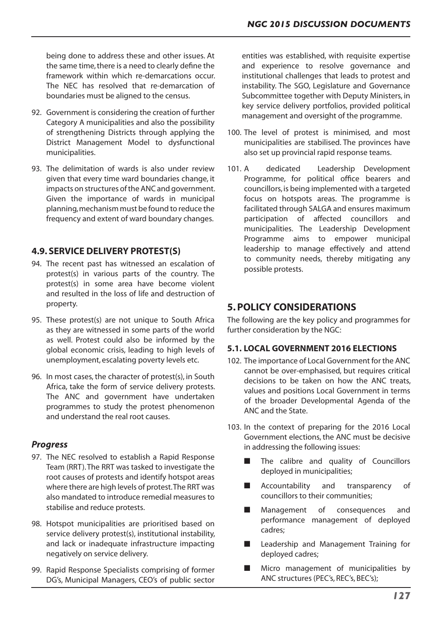being done to address these and other issues. At the same time, there is a need to clearly define the framework within which re-demarcations occur. The NEC has resolved that re-demarcation of boundaries must be aligned to the census.

- 92. Government is considering the creation of further Category A municipalities and also the possibility of strengthening Districts through applying the District Management Model to dysfunctional municipalities.
- 93. The delimitation of wards is also under review given that every time ward boundaries change, it impacts on structures of the ANC and government. Given the importance of wards in municipal planning,mechanism must be found to reduce the frequency and extent of ward boundary changes.

# **4.9. SERVICE DELIVERY PROTEST(S)**

- 94. The recent past has witnessed an escalation of protest(s) in various parts of the country. The protest(s) in some area have become violent and resulted in the loss of life and destruction of property.
- 95. These protest(s) are not unique to South Africa as they are witnessed in some parts of the world as well. Protest could also be informed by the global economic crisis, leading to high levels of unemployment, escalating poverty levels etc.
- 96. In most cases, the character of protest(s), in South Africa, take the form of service delivery protests. The ANC and government have undertaken programmes to study the protest phenomenon and understand the real root causes.

## *Progress*

- 97. The NEC resolved to establish a Rapid Response Team (RRT).The RRT was tasked to investigate the root causes of protests and identify hotspot areas where there are high levels of protest. The RRT was also mandated to introduce remedial measures to stabilise and reduce protests.
- 98. Hotspot municipalities are prioritised based on service delivery protest(s), institutional instability, and lack or inadequate infrastructure impacting negatively on service delivery.
- 99. Rapid Response Specialists comprising of former DG's, Municipal Managers, CEO's of public sector

entities was established, with requisite expertise and experience to resolve governance and institutional challenges that leads to protest and instability. The SGO, Legislature and Governance Subcommittee together with Deputy Ministers, in key service delivery portfolios, provided political management and oversight of the programme.

- 100. The level of protest is minimised, and most municipalities are stabilised. The provinces have also set up provincial rapid response teams.
- 101. A dedicated Leadership Development Programme, for political office bearers and councillors,is being implemented with a targeted focus on hotspots areas. The programme is facilitated through SALGA and ensures maximum participation of affected councillors and municipalities. The Leadership Development Programme aims to empower municipal leadership to manage effectively and attend to community needs, thereby mitigating any possible protests.

# **5. POLICY CONSIDERATIONS**

The following are the key policy and programmes for further consideration by the NGC:

#### **5.1. LOCAL GOVERNMENT 2016 ELECTIONS**

- 102. The importance of Local Government for the ANC cannot be over-emphasised, but requires critical decisions to be taken on how the ANC treats, values and positions Local Government in terms of the broader Developmental Agenda of the ANC and the State.
- 103. In the context of preparing for the 2016 Local Government elections, the ANC must be decisive in addressing the following issues:
	- $\blacksquare$  The calibre and quality of Councillors deployed in municipalities;
	- **n** Accountability and transparency of councillors to their communities;
	- **n** Management of consequences and performance management of deployed cadres;
	- Leadership and Management Training for deployed cadres;
	- $\blacksquare$  Micro management of municipalities by ANC structures (PEC's, REC's, BEC's);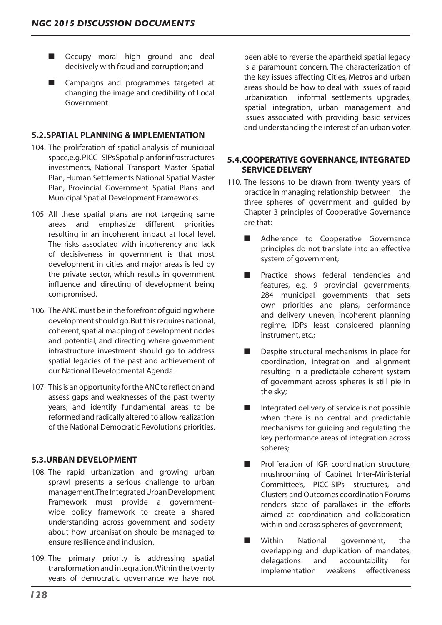- **n** Occupy moral high ground and deal decisively with fraud and corruption; and
- Campaigns and programmes targeted at changing the image and credibility of Local Government.

### **5.2.SPATIAL PLANNING & IMPLEMENTATION**

- 104. The proliferation of spatial analysis of municipal space,e.g. PICC–SIPsSpatialplanforinfrastructures investments, National Transport Master Spatial Plan, Human Settlements National Spatial Master Plan, Provincial Government Spatial Plans and Municipal Spatial Development Frameworks.
- 105. All these spatial plans are not targeting same areas and emphasize different priorities resulting in an incoherent impact at local level. The risks associated with incoherency and lack of decisiveness in government is that most development in cities and major areas is led by the private sector, which results in government influence and directing of development being compromised.
- 106. The ANC must be in the forefront of quiding where development should go.But this requires national, coherent,spatial mapping of development nodes and potential; and directing where government infrastructure investment should go to address spatial legacies of the past and achievement of our National Developmental Agenda.
- 107. This is an opportunity for the ANC to reflect on and assess gaps and weaknesses of the past twenty years; and identify fundamental areas to be reformed and radically altered to allow realization of the National Democratic Revolutions priorities.

#### **5.3.URBAN DEVELOPMENT**

- 108. The rapid urbanization and growing urban sprawl presents a serious challenge to urban management.TheIntegratedUrbanDevelopment Framework must provide a governmentwide policy framework to create a shared understanding across government and society about how urbanisation should be managed to ensure resilience and inclusion.
- 109. The primary priority is addressing spatial transformation and integration.Within the twenty years of democratic governance we have not

been able to reverse the apartheid spatial legacy is a paramount concern. The characterization of the key issues affecting Cities, Metros and urban areas should be how to deal with issues of rapid urbanization informal settlements upgrades, spatial integration, urban management and issues associated with providing basic services and understanding the interest of an urban voter.

#### **5.4.COOPERATIVE GOVERNANCE, INTEGRATED SERVICE DELVERY**

- 110. The lessons to be drawn from twenty years of practice in managing relationship between the three spheres of government and guided by Chapter 3 principles of Cooperative Governance are that:
	- Adherence to Cooperative Governance principles do not translate into an effective system of government;
	- **n** Practice shows federal tendencies and features, e.g. 9 provincial governments, 284 municipal governments that sets own priorities and plans, performance and delivery uneven, incoherent planning regime, IDPs least considered planning instrument, etc.;
	- $\blacksquare$  Despite structural mechanisms in place for coordination, integration and alignment resulting in a predictable coherent system of government across spheres is still pie in the sky;
	- $\blacksquare$  Integrated delivery of service is not possible when there is no central and predictable mechanisms for guiding and regulating the key performance areas of integration across spheres;
	- $\blacksquare$  Proliferation of IGR coordination structure, mushrooming of Cabinet Inter-Ministerial Committee's, PICC-SIPs structures, and Clusters andOutcomes coordination Forums renders state of parallaxes in the efforts aimed at coordination and collaboration within and across spheres of government;
	- **n** Within National government, the overlapping and duplication of mandates, delegations and accountability for implementation weakens effectiveness